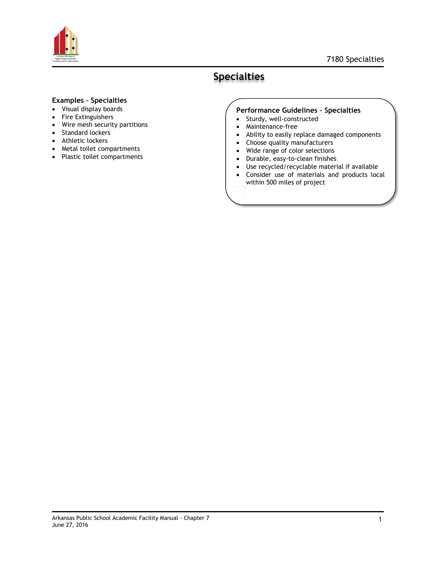

#### 7180 Specialties

## **Specialties**

### **Examples – Specialties**

- Visual display boards
- Fire Extinguishers
- Wire mesh security partitions
- Standard lockers
- Athletic lockers
- Metal toilet compartments
- Plastic toilet compartments

#### **Performance Guidelines – Specialties**

- Sturdy, well-constructed
- Maintenance-free
- Ability to easily replace damaged components
- Choose quality manufacturers
- Wide range of color selections
- Durable, easy-to-clean finishes

within 500 miles of project

 Use recycled/recyclable material if available Consider use of materials and products local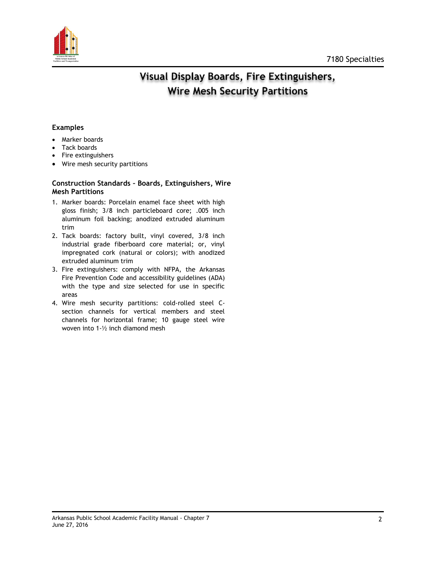

# Visual Display Boards, Fire Extinguishers, **Wire Mesh Security Partitions**

#### **Examples**

- Marker boards
- Tack boards
- Fire extinguishers
- Wire mesh security partitions

#### **Construction Standards – Boards, Extinguishers, Wire Mesh Partitions**

- 1. Marker boards: Porcelain enamel face sheet with high gloss finish; 3/8 inch particleboard core; .005 inch aluminum foil backing; anodized extruded aluminum trim
- 2. Tack boards: factory built, vinyl covered, 3/8 inch industrial grade fiberboard core material; or, vinyl impregnated cork (natural or colors); with anodized extruded aluminum trim
- 3. Fire extinguishers: comply with NFPA, the Arkansas Fire Prevention Code and accessibility guidelines (ADA) with the type and size selected for use in specific areas
- 4. Wire mesh security partitions: cold-rolled steel Csection channels for vertical members and steel channels for horizontal frame; 10 gauge steel wire woven into 1-½ inch diamond mesh